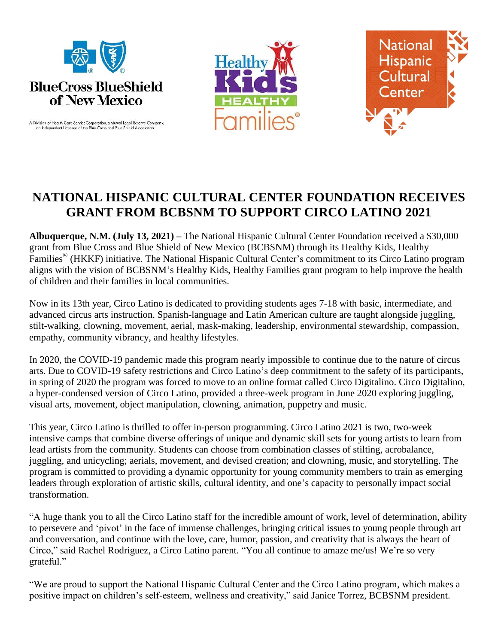

A Division of Health Care ServiceCorporation, a Mutual Legal Reserve Company,<br>an Independent Licensee of the Blue Cross and Blue Shield Association





## **NATIONAL HISPANIC CULTURAL CENTER FOUNDATION RECEIVES GRANT FROM BCBSNM TO SUPPORT CIRCO LATINO 2021**

**Albuquerque, N.M. (July 13, 2021) –** The National Hispanic Cultural Center Foundation received a \$30,000 grant from Blue Cross and Blue Shield of New Mexico (BCBSNM) through its Healthy Kids, Healthy Families® (HKKF) initiative. The National Hispanic Cultural Center's commitment to its Circo Latino program aligns with the vision of BCBSNM's Healthy Kids, Healthy Families grant program to help improve the health of children and their families in local communities.

Now in its 13th year, Circo Latino is dedicated to providing students ages 7-18 with basic, intermediate, and advanced circus arts instruction. Spanish-language and Latin American culture are taught alongside juggling, stilt-walking, clowning, movement, aerial, mask-making, leadership, environmental stewardship, compassion, empathy, community vibrancy, and healthy lifestyles.

In 2020, the COVID-19 pandemic made this program nearly impossible to continue due to the nature of circus arts. Due to COVID-19 safety restrictions and Circo Latino's deep commitment to the safety of its participants, in spring of 2020 the program was forced to move to an online format called Circo Digitalino. Circo Digitalino, a hyper-condensed version of Circo Latino, provided a three-week program in June 2020 exploring juggling, visual arts, movement, object manipulation, clowning, animation, puppetry and music.

This year, Circo Latino is thrilled to offer in-person programming. Circo Latino 2021 is two, two-week intensive camps that combine diverse offerings of unique and dynamic skill sets for young artists to learn from lead artists from the community. Students can choose from combination classes of stilting, acrobalance, juggling, and unicycling; aerials, movement, and devised creation; and clowning, music, and storytelling. The program is committed to providing a dynamic opportunity for young community members to train as emerging leaders through exploration of artistic skills, cultural identity, and one's capacity to personally impact social transformation.

"A huge thank you to all the Circo Latino staff for the incredible amount of work, level of determination, ability to persevere and 'pivot' in the face of immense challenges, bringing critical issues to young people through art and conversation, and continue with the love, care, humor, passion, and creativity that is always the heart of Circo," said Rachel Rodriguez, a Circo Latino parent. "You all continue to amaze me/us! We're so very grateful."

"We are proud to support the National Hispanic Cultural Center and the Circo Latino program, which makes a positive impact on children's self-esteem, wellness and creativity," said Janice Torrez, BCBSNM president.